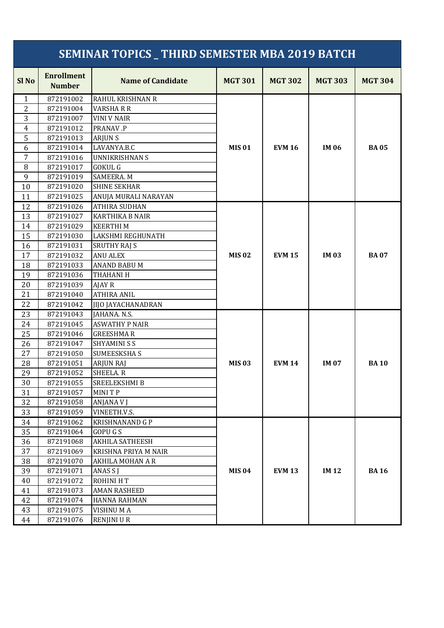|                  |                                    | <b>SEMINAR TOPICS _ THIRD SEMESTER MBA 2019 BATCH</b> |                |                |                |                |
|------------------|------------------------------------|-------------------------------------------------------|----------------|----------------|----------------|----------------|
| Sl <sub>No</sub> | <b>Enrollment</b><br><b>Number</b> | <b>Name of Candidate</b>                              | <b>MGT 301</b> | <b>MGT 302</b> | <b>MGT 303</b> | <b>MGT 304</b> |
| 1                | 872191002                          | <b>RAHUL KRISHNAN R</b>                               |                |                |                |                |
| $\overline{2}$   | 872191004                          | <b>VARSHARR</b>                                       |                |                |                |                |
| 3                | 872191007                          | <b>VINI V NAIR</b>                                    |                |                |                |                |
| $\overline{4}$   | 872191012                          | PRANAV.P                                              |                |                |                |                |
| 5                | 872191013                          | <b>ARJUNS</b>                                         |                |                |                |                |
| 6                | 872191014                          | LAVANYA.B.C                                           | <b>MIS 01</b>  | <b>EVM 16</b>  | <b>IM 06</b>   | <b>BA05</b>    |
| 7                | 872191016                          | <b>UNNIKRISHNAN S</b>                                 |                |                |                |                |
| 8                | 872191017                          | <b>GOKUL G</b>                                        |                |                |                |                |
| 9                | 872191019                          | SAMEERA. M                                            |                |                |                |                |
| 10               | 872191020                          | <b>SHINE SEKHAR</b>                                   |                |                |                |                |
| 11               | 872191025                          | ANUJA MURALI NARAYAN                                  |                |                |                |                |
| 12               | 872191026                          | <b>ATHIRA SUDHAN</b>                                  |                |                |                |                |
| 13               | 872191027                          | <b>KARTHIKA B NAIR</b>                                |                |                |                |                |
| 14               | 872191029                          | <b>KEERTHIM</b>                                       |                |                |                |                |
| 15               | 872191030                          | LAKSHMI REGHUNATH                                     |                |                |                |                |
| 16               | 872191031                          | <b>SRUTHY RAJ S</b>                                   |                |                |                |                |
| 17               | 872191032                          | <b>ANU ALEX</b>                                       | <b>MIS 02</b>  | <b>EVM 15</b>  | <b>IM03</b>    | <b>BA07</b>    |
| 18               | 872191033                          | ANAND BABU M                                          |                |                |                |                |
| 19               | 872191036                          | THAHANI H                                             |                |                |                |                |
| 20               | 872191039                          | <b>AJAY R</b>                                         |                |                |                |                |
| 21               | 872191040                          | <b>ATHIRA ANIL</b>                                    |                |                |                |                |
| 22               | 872191042                          | <b>JIJO JAYACHANADRAN</b>                             |                |                |                |                |
| 23               | 872191043                          | JAHANA. N.S.                                          |                |                |                |                |
| 24               | 872191045                          | <b>ASWATHY P NAIR</b>                                 |                |                |                |                |
| 25               | 872191046                          | <b>GREESHMAR</b>                                      |                |                |                |                |
| 26               | 872191047                          | <b>SHYAMINI S S</b>                                   |                |                |                |                |
| 27               | 872191050                          | <b>SUMEESKSHAS</b>                                    |                |                |                |                |
| 28               | 872191051                          | <b>ARJUN RAJ</b>                                      | <b>MIS 03</b>  | <b>EVM 14</b>  | <b>IM 07</b>   | <b>BA10</b>    |
| 29               | 872191052                          | SHEELA. R                                             |                |                |                |                |
| 30               | 872191055                          | SREELEKSHMI B                                         |                |                |                |                |
| 31               | 872191057                          | MINI T P                                              |                |                |                |                |
| 32               | 872191058                          | ANJANA V J                                            |                |                |                |                |
| 33               | 872191059                          | VINEETH.V.S.                                          |                |                |                |                |
| 34               | 872191062                          | <b>KRISHNANAND G P</b>                                |                |                |                |                |
| 35               | 872191064                          | <b>GOPUGS</b>                                         |                |                |                |                |
| 36               | 872191068                          | AKHILA SATHEESH                                       |                |                |                |                |
| 37               | 872191069                          | KRISHNA PRIYA M NAIR                                  |                |                |                |                |
| 38               | 872191070                          | AKHILA MOHAN A R                                      |                |                |                |                |
| 39               | 872191071                          | ANAS S J                                              | <b>MIS 04</b>  | <b>EVM 13</b>  | <b>IM12</b>    | <b>BA16</b>    |
| 40               | 872191072                          | ROHINI HT                                             |                |                |                |                |
| 41               | 872191073                          | <b>AMAN RASHEED</b>                                   |                |                |                |                |
| 42               | 872191074                          | HANNA RAHMAN                                          |                |                |                |                |
| 43               | 872191075                          | VISHNUMA                                              |                |                |                |                |
| 44               | 872191076                          | <b>RENJINI U R</b>                                    |                |                |                |                |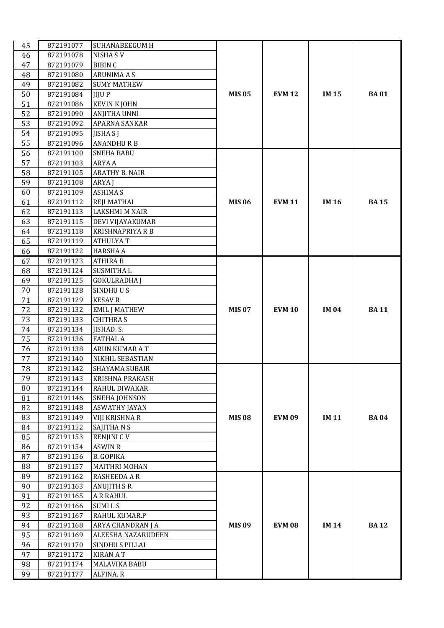| 45 | 872191077 | <b>SUHANABEEGUM H</b>   |               |               |              |             |
|----|-----------|-------------------------|---------------|---------------|--------------|-------------|
| 46 | 872191078 | <b>NISHA SV</b>         |               |               |              |             |
| 47 | 872191079 | <b>BIBIN C</b>          |               |               |              |             |
| 48 | 872191080 | <b>ARUNIMA A S</b>      |               |               |              |             |
| 49 | 872191082 | <b>SUMY MATHEW</b>      |               |               |              |             |
| 50 | 872191084 | JIJU P                  | <b>MIS 05</b> | <b>EVM 12</b> | <b>IM15</b>  | <b>BA01</b> |
| 51 | 872191086 | <b>KEVIN K JOHN</b>     |               |               |              |             |
| 52 | 872191090 | <b>ANJITHA UNNI</b>     |               |               |              |             |
| 53 | 872191092 | APARNA SANKAR           |               |               |              |             |
| 54 | 872191095 | <b>JISHAS J</b>         |               |               |              |             |
| 55 | 872191096 | <b>ANANDHURB</b>        |               |               |              |             |
| 56 | 872191100 | <b>SNEHA BABU</b>       |               |               |              |             |
| 57 | 872191103 | <b>ARYA A</b>           |               |               |              |             |
| 58 | 872191105 | ARATHY B. NAIR          |               |               |              |             |
| 59 | 872191108 | ARYA J                  |               |               |              |             |
| 60 | 872191109 | <b>ASHIMA S</b>         |               |               |              |             |
| 61 | 872191112 | <b>REJI MATHAI</b>      | <b>MIS 06</b> | <b>EVM 11</b> | <b>IM16</b>  | <b>BA15</b> |
| 62 | 872191113 | <b>LAKSHMI M NAIR</b>   |               |               |              |             |
| 63 | 872191115 | DEVI VIJAYAKUMAR        |               |               |              |             |
| 64 | 872191118 | <b>KRISHNAPRIYA R B</b> |               |               |              |             |
| 65 | 872191119 | <b>ATHULYAT</b>         |               |               |              |             |
| 66 | 872191122 | <b>HARSHA A</b>         |               |               |              |             |
| 67 | 872191123 | <b>ATHIRA B</b>         |               |               |              |             |
| 68 | 872191124 | <b>SUSMITHAL</b>        |               |               |              |             |
| 69 | 872191125 | <b>GOKULRADHA J</b>     |               |               |              |             |
| 70 | 872191128 | SINDHUUS                |               |               |              |             |
| 71 | 872191129 | <b>KESAV R</b>          |               |               |              |             |
| 72 | 872191132 | <b>EMIL J MATHEW</b>    | <b>MIS 07</b> | <b>EVM 10</b> | <b>IM 04</b> | <b>BA11</b> |
| 73 | 872191133 | <b>CHITHRA S</b>        |               |               |              |             |
| 74 | 872191134 | JISHAD. S.              |               |               |              |             |
| 75 | 872191136 | <b>FATHAL A</b>         |               |               |              |             |
| 76 | 872191138 | ARUN KUMAR A T          |               |               |              |             |
| 77 | 872191140 | NIKHIL SEBASTIAN        |               |               |              |             |
| 78 | 872191142 | SHAYAMA SUBAIR          |               |               |              |             |
| 79 | 872191143 | <b>KRISHNA PRAKASH</b>  |               |               |              |             |
| 80 | 872191144 | RAHUL DIWAKAR           |               |               |              |             |
| 81 | 872191146 | <b>SNEHA JOHNSON</b>    |               |               |              |             |
| 82 | 872191148 | <b>ASWATHY JAYAN</b>    |               |               |              |             |
| 83 | 872191149 | VIJI KRISHNA R          | <b>MIS 08</b> | <b>EVM 09</b> | <b>IM11</b>  | <b>BA04</b> |
| 84 | 872191152 | SAJITHANS               |               |               |              |             |
| 85 | 872191153 | <b>RENJINI CV</b>       |               |               |              |             |
| 86 | 872191154 | <b>ASWIN R</b>          |               |               |              |             |
| 87 | 872191156 | <b>B. GOPIKA</b>        |               |               |              |             |
| 88 | 872191157 | MAITHRI MOHAN           |               |               |              |             |
| 89 | 872191162 | RASHEEDA A R            |               |               |              |             |
| 90 | 872191163 | <b>ANUJITH S R</b>      |               |               |              |             |
| 91 | 872191165 | <b>A R RAHUL</b>        |               |               |              |             |
| 92 | 872191166 | SUMI L S                |               |               |              |             |
| 93 | 872191167 | RAHUL KUMAR.P           |               |               |              |             |
| 94 | 872191168 | ARYA CHANDRAN J A       | <b>MIS 09</b> | <b>EVM 08</b> | <b>IM14</b>  | <b>BA12</b> |
| 95 | 872191169 | ALEESHA NAZARUDEEN      |               |               |              |             |
| 96 | 872191170 | SINDHU S PILLAI         |               |               |              |             |
| 97 | 872191172 | <b>KIRAN AT</b>         |               |               |              |             |
| 98 | 872191174 | MALAVIKA BABU           |               |               |              |             |
| 99 | 872191177 | ALFINA. R               |               |               |              |             |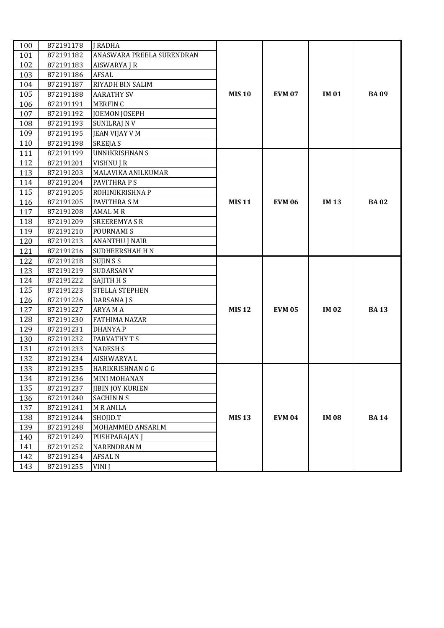| 100 | 872191178 | <b>I RADHA</b>            |              |               |              |             |
|-----|-----------|---------------------------|--------------|---------------|--------------|-------------|
| 101 | 872191182 | ANASWARA PREELA SURENDRAN |              |               |              |             |
| 102 | 872191183 | AISWARYA J R              |              |               |              |             |
| 103 | 872191186 | AFSAL                     |              |               |              |             |
| 104 | 872191187 | RIYADH BIN SALIM          |              |               |              |             |
| 105 | 872191188 | <b>AARATHY SV</b>         | <b>MIS10</b> | <b>EVM 07</b> | <b>IM01</b>  | <b>BA09</b> |
| 106 | 872191191 | <b>MERFINC</b>            |              |               |              |             |
| 107 | 872191192 | <b>JOEMON JOSEPH</b>      |              |               |              |             |
| 108 | 872191193 | <b>SUNILRAJ NV</b>        |              |               |              |             |
| 109 | 872191195 | <b>JEAN VIJAY V M</b>     |              |               |              |             |
| 110 | 872191198 | <b>SREEJA S</b>           |              |               |              |             |
| 111 | 872191199 | <b>UNNIKRISHNAN S</b>     |              |               |              |             |
| 112 | 872191201 | VISHNU J R                |              |               |              |             |
| 113 | 872191203 | MALAVIKA ANILKUMAR        |              |               |              |             |
| 114 | 872191204 | PAVITHRA P S              |              |               |              |             |
| 115 | 872191205 | ROHINIKRISHNA P           |              |               |              |             |
| 116 | 872191205 | PAVITHRA S M              | <b>MIS11</b> | <b>EVM 06</b> | <b>IM13</b>  | <b>BA02</b> |
| 117 | 872191208 | <b>AMAL M R</b>           |              |               |              |             |
| 118 | 872191209 | <b>SREEREMYASR</b>        |              |               |              |             |
| 119 | 872191210 | POURNAMI S                |              |               |              |             |
| 120 | 872191213 | <b>ANANTHU J NAIR</b>     |              |               |              |             |
| 121 | 872191216 | SUDHEERSHAH H N           |              |               |              |             |
| 122 | 872191218 | SUJIN S S                 |              |               |              |             |
| 123 | 872191219 | SUDARSAN V                |              |               |              |             |
| 124 | 872191222 | SAJITH H S                |              |               |              |             |
| 125 | 872191223 | STELLA STEPHEN            |              |               |              |             |
| 126 | 872191226 | DARSANA J S               |              |               |              |             |
| 127 | 872191227 | <b>ARYAMA</b>             | <b>MIS12</b> | <b>EVM 05</b> | <b>IM 02</b> | <b>BA13</b> |
| 128 | 872191230 | <b>FATHIMA NAZAR</b>      |              |               |              |             |
| 129 | 872191231 | DHANYA.P                  |              |               |              |             |
| 130 | 872191232 | PARVATHY T S              |              |               |              |             |
| 131 | 872191233 | <b>NADESH S</b>           |              |               |              |             |
| 132 | 872191234 | AISHWARYA L               |              |               |              |             |
| 133 | 872191235 | HARIKRISHNAN G G          |              |               |              |             |
| 134 | 872191236 | MINI MOHANAN              |              |               |              |             |
| 135 | 872191237 | <b>JIBIN JOY KURIEN</b>   |              |               |              |             |
| 136 | 872191240 | <b>SACHIN N S</b>         |              |               |              |             |
| 137 | 872191241 | <b>MRANILA</b>            |              |               |              |             |
| 138 | 872191244 | SHOJID.T                  | <b>MIS13</b> | <b>EVM 04</b> | <b>IM08</b>  | <b>BA14</b> |
| 139 | 872191248 | MOHAMMED ANSARI.M         |              |               |              |             |
| 140 | 872191249 | PUSHPARAJAN J             |              |               |              |             |
| 141 | 872191252 | <b>NARENDRAN M</b>        |              |               |              |             |
| 142 | 872191254 | <b>AFSAL N</b>            |              |               |              |             |
| 143 | 872191255 | VINI J                    |              |               |              |             |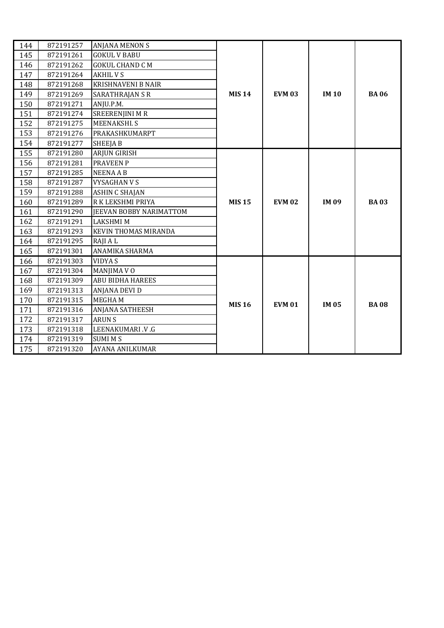| 144 | 872191257 | ANJANA MENON S                 |               |               |             |             |
|-----|-----------|--------------------------------|---------------|---------------|-------------|-------------|
| 145 | 872191261 | <b>GOKUL V BABU</b>            |               |               |             |             |
| 146 | 872191262 | <b>GOKUL CHAND C M</b>         |               |               |             |             |
| 147 | 872191264 | <b>AKHIL V S</b>               |               |               |             |             |
| 148 | 872191268 | <b>KRISHNAVENI B NAIR</b>      |               |               |             |             |
| 149 | 872191269 | <b>SARATHRAJAN S R</b>         | <b>MIS 14</b> | <b>EVM 03</b> | <b>IM10</b> | <b>BA06</b> |
| 150 | 872191271 | ANJU.P.M.                      |               |               |             |             |
| 151 | 872191274 | <b>SREERENJINI M R</b>         |               |               |             |             |
| 152 | 872191275 | MEENAKSHI. S                   |               |               |             |             |
| 153 | 872191276 | PRAKASHKUMARPT                 |               |               |             |             |
| 154 | 872191277 | <b>SHEEJAB</b>                 |               |               |             |             |
| 155 | 872191280 | ARJUN GIRISH                   |               |               |             |             |
| 156 | 872191281 | <b>PRAVEEN P</b>               |               |               |             |             |
| 157 | 872191285 | <b>NEENAAB</b>                 |               |               |             |             |
| 158 | 872191287 | <b>VYSAGHAN V S</b>            |               |               |             |             |
| 159 | 872191288 | <b>ASHIN C SHAJAN</b>          |               |               |             |             |
| 160 | 872191289 | R K LEKSHMI PRIYA              | <b>MIS15</b>  | <b>EVM 02</b> | <b>IM09</b> | <b>BA03</b> |
| 161 | 872191290 | <b>JEEVAN BOBBY NARIMATTOM</b> |               |               |             |             |
| 162 | 872191291 | <b>LAKSHMI M</b>               |               |               |             |             |
| 163 | 872191293 | <b>KEVIN THOMAS MIRANDA</b>    |               |               |             |             |
| 164 | 872191295 | RAJI A L                       |               |               |             |             |
| 165 | 872191301 | ANAMIKA SHARMA                 |               |               |             |             |
| 166 | 872191303 | <b>VIDYAS</b>                  |               |               |             |             |
| 167 | 872191304 | MANJIMA V O                    |               |               |             |             |
| 168 | 872191309 | <b>ABU BIDHA HAREES</b>        |               |               |             |             |
| 169 | 872191313 | ANJANA DEVI D                  |               |               |             |             |
| 170 | 872191315 | <b>MEGHAM</b>                  | <b>MIS 16</b> | <b>EVM 01</b> | <b>IM05</b> | <b>BA08</b> |
| 171 | 872191316 | ANJANA SATHEESH                |               |               |             |             |
| 172 | 872191317 | <b>ARUNS</b>                   |               |               |             |             |
| 173 | 872191318 | LEENAKUMARI .V .G              |               |               |             |             |
| 174 | 872191319 | <b>SUMI MS</b>                 |               |               |             |             |
| 175 | 872191320 | AYANA ANILKUMAR                |               |               |             |             |